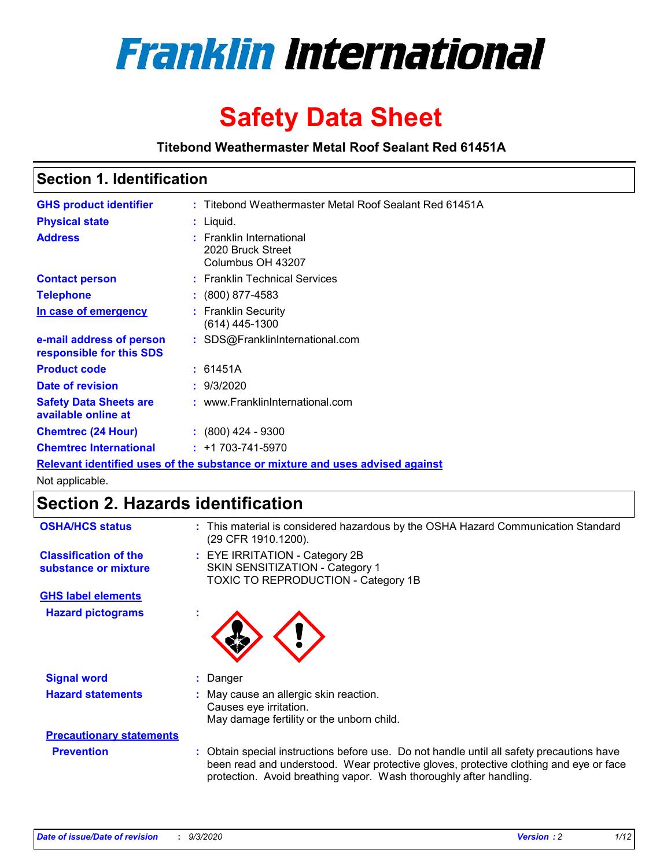

# **Safety Data Sheet**

**Titebond Weathermaster Metal Roof Sealant Red 61451A**

### **Section 1. Identification**

| <b>GHS product identifier</b>                                                 |  | : Titebond Weathermaster Metal Roof Sealant Red 61451A             |  |  |
|-------------------------------------------------------------------------------|--|--------------------------------------------------------------------|--|--|
| <b>Physical state</b>                                                         |  | $:$ Liquid.                                                        |  |  |
| <b>Address</b>                                                                |  | : Franklin International<br>2020 Bruck Street<br>Columbus OH 43207 |  |  |
| <b>Contact person</b>                                                         |  | : Franklin Technical Services                                      |  |  |
| <b>Telephone</b>                                                              |  | $\colon$ (800) 877-4583                                            |  |  |
| In case of emergency                                                          |  | : Franklin Security<br>(614) 445-1300                              |  |  |
| e-mail address of person<br>responsible for this SDS                          |  | : SDS@FranklinInternational.com                                    |  |  |
| <b>Product code</b>                                                           |  | : 61451A                                                           |  |  |
| Date of revision                                                              |  | : 9/3/2020                                                         |  |  |
| <b>Safety Data Sheets are</b><br>available online at                          |  | : www.FranklinInternational.com                                    |  |  |
| <b>Chemtrec (24 Hour)</b>                                                     |  | $: (800)$ 424 - 9300                                               |  |  |
| <b>Chemtrec International</b>                                                 |  | $: +1703 - 741 - 5970$                                             |  |  |
| Relevant identified uses of the substance or mixture and uses advised against |  |                                                                    |  |  |

Not applicable.

# **Section 2. Hazards identification**

| <b>OSHA/HCS status</b>                               |    | : This material is considered hazardous by the OSHA Hazard Communication Standard<br>(29 CFR 1910.1200).                                                                                                                                                 |
|------------------------------------------------------|----|----------------------------------------------------------------------------------------------------------------------------------------------------------------------------------------------------------------------------------------------------------|
| <b>Classification of the</b><br>substance or mixture |    | : EYE IRRITATION - Category 2B<br>SKIN SENSITIZATION - Category 1<br>TOXIC TO REPRODUCTION - Category 1B                                                                                                                                                 |
| <b>GHS label elements</b>                            |    |                                                                                                                                                                                                                                                          |
| <b>Hazard pictograms</b>                             | ٠  |                                                                                                                                                                                                                                                          |
| <b>Signal word</b>                                   | ÷. | Danger                                                                                                                                                                                                                                                   |
| <b>Hazard statements</b>                             |    | May cause an allergic skin reaction.<br>Causes eye irritation.<br>May damage fertility or the unborn child.                                                                                                                                              |
| <b>Precautionary statements</b>                      |    |                                                                                                                                                                                                                                                          |
| <b>Prevention</b>                                    |    | : Obtain special instructions before use. Do not handle until all safety precautions have<br>been read and understood. Wear protective gloves, protective clothing and eye or face<br>protection. Avoid breathing vapor. Wash thoroughly after handling. |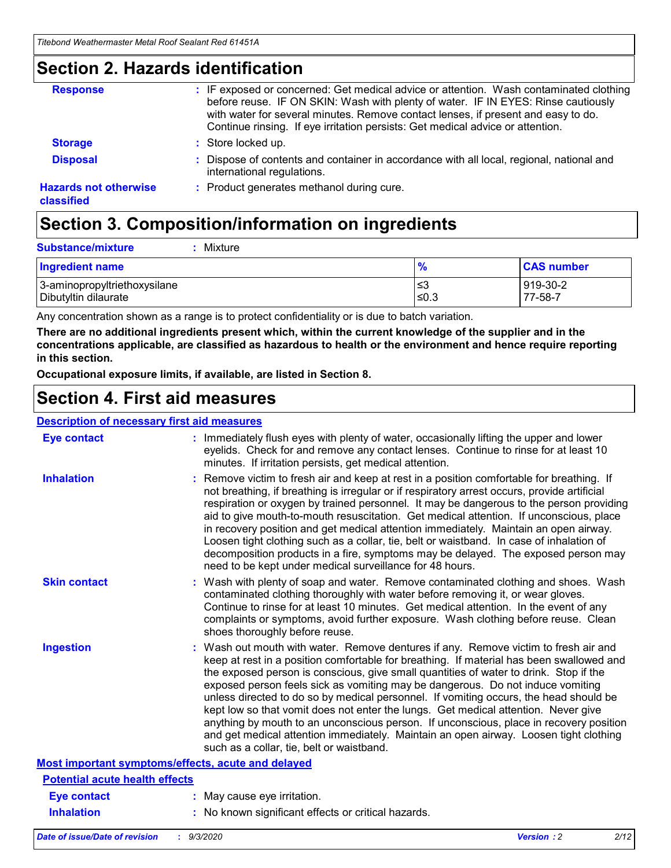### **Section 2. Hazards identification**

| <b>Response</b>                            | : IF exposed or concerned: Get medical advice or attention. Wash contaminated clothing<br>before reuse. IF ON SKIN: Wash with plenty of water. IF IN EYES: Rinse cautiously<br>with water for several minutes. Remove contact lenses, if present and easy to do.<br>Continue rinsing. If eye irritation persists: Get medical advice or attention. |
|--------------------------------------------|----------------------------------------------------------------------------------------------------------------------------------------------------------------------------------------------------------------------------------------------------------------------------------------------------------------------------------------------------|
| <b>Storage</b>                             | : Store locked up.                                                                                                                                                                                                                                                                                                                                 |
| <b>Disposal</b>                            | : Dispose of contents and container in accordance with all local, regional, national and<br>international regulations.                                                                                                                                                                                                                             |
| <b>Hazards not otherwise</b><br>classified | : Product generates methanol during cure.                                                                                                                                                                                                                                                                                                          |

# **Section 3. Composition/information on ingredients**

| <b>Substance/mixture</b> | Mixture |
|--------------------------|---------|
|                          |         |

| <b>Ingredient name</b>       | $\frac{9}{6}$ | <b>CAS number</b> |
|------------------------------|---------------|-------------------|
| 3-aminopropyltriethoxysilane | ≤3            | 919-30-2          |
| Dibutyltin dilaurate         | ∣≤0.3         | 77-58-7           |

Any concentration shown as a range is to protect confidentiality or is due to batch variation.

**There are no additional ingredients present which, within the current knowledge of the supplier and in the concentrations applicable, are classified as hazardous to health or the environment and hence require reporting in this section.**

**Occupational exposure limits, if available, are listed in Section 8.**

### **Section 4. First aid measures**

| <b>Description of necessary first aid measures</b> |                                                                                                                                                                                                                                                                                                                                                                                                                                                                                                                                                                                                                                                                                                                                                                           |
|----------------------------------------------------|---------------------------------------------------------------------------------------------------------------------------------------------------------------------------------------------------------------------------------------------------------------------------------------------------------------------------------------------------------------------------------------------------------------------------------------------------------------------------------------------------------------------------------------------------------------------------------------------------------------------------------------------------------------------------------------------------------------------------------------------------------------------------|
| <b>Eye contact</b>                                 | : Immediately flush eyes with plenty of water, occasionally lifting the upper and lower<br>eyelids. Check for and remove any contact lenses. Continue to rinse for at least 10<br>minutes. If irritation persists, get medical attention.                                                                                                                                                                                                                                                                                                                                                                                                                                                                                                                                 |
| <b>Inhalation</b>                                  | : Remove victim to fresh air and keep at rest in a position comfortable for breathing. If<br>not breathing, if breathing is irregular or if respiratory arrest occurs, provide artificial<br>respiration or oxygen by trained personnel. It may be dangerous to the person providing<br>aid to give mouth-to-mouth resuscitation. Get medical attention. If unconscious, place<br>in recovery position and get medical attention immediately. Maintain an open airway.<br>Loosen tight clothing such as a collar, tie, belt or waistband. In case of inhalation of<br>decomposition products in a fire, symptoms may be delayed. The exposed person may<br>need to be kept under medical surveillance for 48 hours.                                                       |
| <b>Skin contact</b>                                | : Wash with plenty of soap and water. Remove contaminated clothing and shoes. Wash<br>contaminated clothing thoroughly with water before removing it, or wear gloves.<br>Continue to rinse for at least 10 minutes. Get medical attention. In the event of any<br>complaints or symptoms, avoid further exposure. Wash clothing before reuse. Clean<br>shoes thoroughly before reuse.                                                                                                                                                                                                                                                                                                                                                                                     |
| <b>Ingestion</b>                                   | : Wash out mouth with water. Remove dentures if any. Remove victim to fresh air and<br>keep at rest in a position comfortable for breathing. If material has been swallowed and<br>the exposed person is conscious, give small quantities of water to drink. Stop if the<br>exposed person feels sick as vomiting may be dangerous. Do not induce vomiting<br>unless directed to do so by medical personnel. If vomiting occurs, the head should be<br>kept low so that vomit does not enter the lungs. Get medical attention. Never give<br>anything by mouth to an unconscious person. If unconscious, place in recovery position<br>and get medical attention immediately. Maintain an open airway. Loosen tight clothing<br>such as a collar, tie, belt or waistband. |
| Most important symptoms/effects, acute and delayed |                                                                                                                                                                                                                                                                                                                                                                                                                                                                                                                                                                                                                                                                                                                                                                           |
| <b>Potential acute health effects</b>              |                                                                                                                                                                                                                                                                                                                                                                                                                                                                                                                                                                                                                                                                                                                                                                           |
| <b>Eye contact</b>                                 | : May cause eye irritation.                                                                                                                                                                                                                                                                                                                                                                                                                                                                                                                                                                                                                                                                                                                                               |
| <b>Inhalation</b>                                  | : No known significant effects or critical hazards.                                                                                                                                                                                                                                                                                                                                                                                                                                                                                                                                                                                                                                                                                                                       |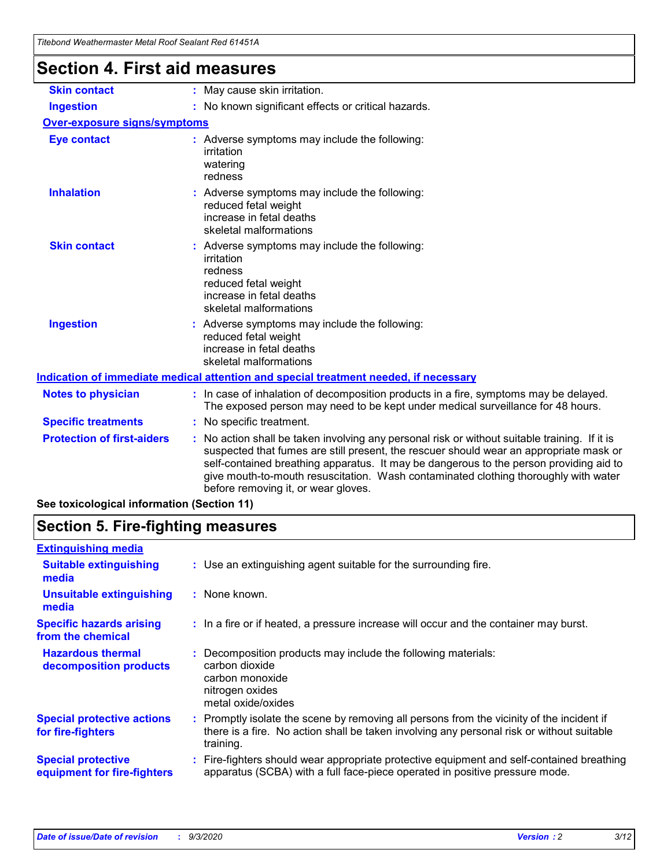| Titebond Weathermaster Metal Roof Sealant Red 61451A |                                                                                                                                                                                                                                                                                                                                                                                                               |  |  |
|------------------------------------------------------|---------------------------------------------------------------------------------------------------------------------------------------------------------------------------------------------------------------------------------------------------------------------------------------------------------------------------------------------------------------------------------------------------------------|--|--|
| <b>Section 4. First aid measures</b>                 |                                                                                                                                                                                                                                                                                                                                                                                                               |  |  |
| <b>Skin contact</b>                                  | : May cause skin irritation.                                                                                                                                                                                                                                                                                                                                                                                  |  |  |
| <b>Ingestion</b>                                     | : No known significant effects or critical hazards.                                                                                                                                                                                                                                                                                                                                                           |  |  |
| <b>Over-exposure signs/symptoms</b>                  |                                                                                                                                                                                                                                                                                                                                                                                                               |  |  |
| <b>Eye contact</b>                                   | : Adverse symptoms may include the following:<br>irritation<br>watering<br>redness                                                                                                                                                                                                                                                                                                                            |  |  |
| <b>Inhalation</b>                                    | : Adverse symptoms may include the following:<br>reduced fetal weight<br>increase in fetal deaths<br>skeletal malformations                                                                                                                                                                                                                                                                                   |  |  |
| <b>Skin contact</b>                                  | : Adverse symptoms may include the following:<br>irritation<br>redness<br>reduced fetal weight<br>increase in fetal deaths<br>skeletal malformations                                                                                                                                                                                                                                                          |  |  |
| <b>Ingestion</b>                                     | Adverse symptoms may include the following:<br>reduced fetal weight<br>increase in fetal deaths<br>skeletal malformations                                                                                                                                                                                                                                                                                     |  |  |
|                                                      | Indication of immediate medical attention and special treatment needed, if necessary                                                                                                                                                                                                                                                                                                                          |  |  |
| <b>Notes to physician</b>                            | : In case of inhalation of decomposition products in a fire, symptoms may be delayed.<br>The exposed person may need to be kept under medical surveillance for 48 hours.                                                                                                                                                                                                                                      |  |  |
| <b>Specific treatments</b>                           | : No specific treatment.                                                                                                                                                                                                                                                                                                                                                                                      |  |  |
| <b>Protection of first-aiders</b>                    | No action shall be taken involving any personal risk or without suitable training. If it is<br>suspected that fumes are still present, the rescuer should wear an appropriate mask or<br>self-contained breathing apparatus. It may be dangerous to the person providing aid to<br>give mouth-to-mouth resuscitation. Wash contaminated clothing thoroughly with water<br>before removing it, or wear gloves. |  |  |
| See toxicological information (Section 11)           |                                                                                                                                                                                                                                                                                                                                                                                                               |  |  |

### **Section 5. Fire-fighting measures**

| <b>Extinguishing media</b>                               |                                                                                                                                                                                                     |
|----------------------------------------------------------|-----------------------------------------------------------------------------------------------------------------------------------------------------------------------------------------------------|
| <b>Suitable extinguishing</b><br>media                   | : Use an extinguishing agent suitable for the surrounding fire.                                                                                                                                     |
| <b>Unsuitable extinguishing</b><br>media                 | : None known.                                                                                                                                                                                       |
| <b>Specific hazards arising</b><br>from the chemical     | : In a fire or if heated, a pressure increase will occur and the container may burst.                                                                                                               |
| <b>Hazardous thermal</b><br>decomposition products       | Decomposition products may include the following materials:<br>carbon dioxide<br>carbon monoxide<br>nitrogen oxides<br>metal oxide/oxides                                                           |
| <b>Special protective actions</b><br>for fire-fighters   | : Promptly isolate the scene by removing all persons from the vicinity of the incident if<br>there is a fire. No action shall be taken involving any personal risk or without suitable<br>training. |
| <b>Special protective</b><br>equipment for fire-fighters | Fire-fighters should wear appropriate protective equipment and self-contained breathing<br>apparatus (SCBA) with a full face-piece operated in positive pressure mode.                              |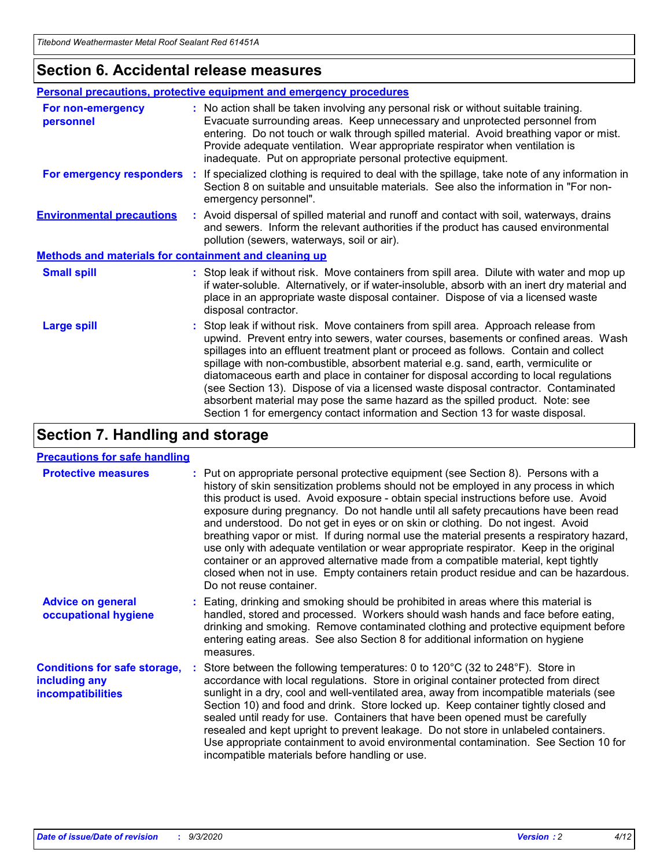### **Section 6. Accidental release measures**

|                                                              | Personal precautions, protective equipment and emergency procedures                                                                                                                                                                                                                                                                                                                                                                                                                                                                                                                                                                                                                                          |  |  |  |
|--------------------------------------------------------------|--------------------------------------------------------------------------------------------------------------------------------------------------------------------------------------------------------------------------------------------------------------------------------------------------------------------------------------------------------------------------------------------------------------------------------------------------------------------------------------------------------------------------------------------------------------------------------------------------------------------------------------------------------------------------------------------------------------|--|--|--|
| For non-emergency<br>personnel                               | : No action shall be taken involving any personal risk or without suitable training.<br>Evacuate surrounding areas. Keep unnecessary and unprotected personnel from<br>entering. Do not touch or walk through spilled material. Avoid breathing vapor or mist.<br>Provide adequate ventilation. Wear appropriate respirator when ventilation is<br>inadequate. Put on appropriate personal protective equipment.                                                                                                                                                                                                                                                                                             |  |  |  |
| For emergency responders                                     | : If specialized clothing is required to deal with the spillage, take note of any information in<br>Section 8 on suitable and unsuitable materials. See also the information in "For non-<br>emergency personnel".                                                                                                                                                                                                                                                                                                                                                                                                                                                                                           |  |  |  |
| <b>Environmental precautions</b>                             | : Avoid dispersal of spilled material and runoff and contact with soil, waterways, drains<br>and sewers. Inform the relevant authorities if the product has caused environmental<br>pollution (sewers, waterways, soil or air).                                                                                                                                                                                                                                                                                                                                                                                                                                                                              |  |  |  |
| <b>Methods and materials for containment and cleaning up</b> |                                                                                                                                                                                                                                                                                                                                                                                                                                                                                                                                                                                                                                                                                                              |  |  |  |
| <b>Small spill</b>                                           | : Stop leak if without risk. Move containers from spill area. Dilute with water and mop up<br>if water-soluble. Alternatively, or if water-insoluble, absorb with an inert dry material and<br>place in an appropriate waste disposal container. Dispose of via a licensed waste<br>disposal contractor.                                                                                                                                                                                                                                                                                                                                                                                                     |  |  |  |
| <b>Large spill</b>                                           | : Stop leak if without risk. Move containers from spill area. Approach release from<br>upwind. Prevent entry into sewers, water courses, basements or confined areas. Wash<br>spillages into an effluent treatment plant or proceed as follows. Contain and collect<br>spillage with non-combustible, absorbent material e.g. sand, earth, vermiculite or<br>diatomaceous earth and place in container for disposal according to local regulations<br>(see Section 13). Dispose of via a licensed waste disposal contractor. Contaminated<br>absorbent material may pose the same hazard as the spilled product. Note: see<br>Section 1 for emergency contact information and Section 13 for waste disposal. |  |  |  |

### **Section 7. Handling and storage**

#### **Precautions for safe handling**

| <b>Protective measures</b>                                                       | : Put on appropriate personal protective equipment (see Section 8). Persons with a<br>history of skin sensitization problems should not be employed in any process in which<br>this product is used. Avoid exposure - obtain special instructions before use. Avoid<br>exposure during pregnancy. Do not handle until all safety precautions have been read<br>and understood. Do not get in eyes or on skin or clothing. Do not ingest. Avoid<br>breathing vapor or mist. If during normal use the material presents a respiratory hazard,<br>use only with adequate ventilation or wear appropriate respirator. Keep in the original<br>container or an approved alternative made from a compatible material, kept tightly<br>closed when not in use. Empty containers retain product residue and can be hazardous.<br>Do not reuse container. |
|----------------------------------------------------------------------------------|--------------------------------------------------------------------------------------------------------------------------------------------------------------------------------------------------------------------------------------------------------------------------------------------------------------------------------------------------------------------------------------------------------------------------------------------------------------------------------------------------------------------------------------------------------------------------------------------------------------------------------------------------------------------------------------------------------------------------------------------------------------------------------------------------------------------------------------------------|
| <b>Advice on general</b><br>occupational hygiene                                 | : Eating, drinking and smoking should be prohibited in areas where this material is<br>handled, stored and processed. Workers should wash hands and face before eating,<br>drinking and smoking. Remove contaminated clothing and protective equipment before<br>entering eating areas. See also Section 8 for additional information on hygiene<br>measures.                                                                                                                                                                                                                                                                                                                                                                                                                                                                                    |
| <b>Conditions for safe storage,</b><br>including any<br><i>incompatibilities</i> | Store between the following temperatures: 0 to $120^{\circ}$ C (32 to $248^{\circ}$ F). Store in<br>accordance with local regulations. Store in original container protected from direct<br>sunlight in a dry, cool and well-ventilated area, away from incompatible materials (see<br>Section 10) and food and drink. Store locked up. Keep container tightly closed and<br>sealed until ready for use. Containers that have been opened must be carefully<br>resealed and kept upright to prevent leakage. Do not store in unlabeled containers.<br>Use appropriate containment to avoid environmental contamination. See Section 10 for<br>incompatible materials before handling or use.                                                                                                                                                     |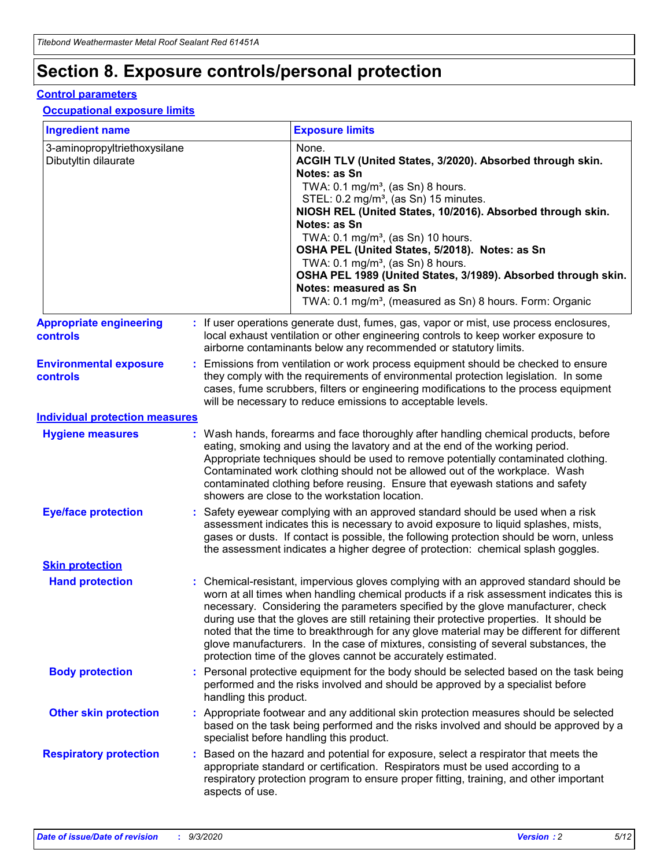# **Section 8. Exposure controls/personal protection**

#### **Control parameters**

#### **Occupational exposure limits**

| <b>Ingredient name</b>                               |    |                        | <b>Exposure limits</b>                                                                                                                                                                                                                                                                                                                                                                                                                                                                                                                                                                                                 |
|------------------------------------------------------|----|------------------------|------------------------------------------------------------------------------------------------------------------------------------------------------------------------------------------------------------------------------------------------------------------------------------------------------------------------------------------------------------------------------------------------------------------------------------------------------------------------------------------------------------------------------------------------------------------------------------------------------------------------|
| 3-aminopropyltriethoxysilane<br>Dibutyltin dilaurate |    |                        | None.<br>ACGIH TLV (United States, 3/2020). Absorbed through skin.<br>Notes: as Sn<br>TWA: $0.1 \text{ mg/m}^3$ , (as Sn) 8 hours.<br>STEL: 0.2 mg/m <sup>3</sup> , (as Sn) 15 minutes.<br>NIOSH REL (United States, 10/2016). Absorbed through skin.<br>Notes: as Sn<br>TWA: 0.1 mg/m <sup>3</sup> , (as Sn) 10 hours.<br>OSHA PEL (United States, 5/2018). Notes: as Sn<br>TWA: 0.1 mg/m <sup>3</sup> , (as Sn) 8 hours.<br>OSHA PEL 1989 (United States, 3/1989). Absorbed through skin.<br>Notes: measured as Sn<br>TWA: 0.1 mg/m <sup>3</sup> , (measured as Sn) 8 hours. Form: Organic                           |
| <b>Appropriate engineering</b><br>controls           |    |                        | : If user operations generate dust, fumes, gas, vapor or mist, use process enclosures,<br>local exhaust ventilation or other engineering controls to keep worker exposure to<br>airborne contaminants below any recommended or statutory limits.                                                                                                                                                                                                                                                                                                                                                                       |
| <b>Environmental exposure</b><br>controls            |    |                        | Emissions from ventilation or work process equipment should be checked to ensure<br>they comply with the requirements of environmental protection legislation. In some<br>cases, fume scrubbers, filters or engineering modifications to the process equipment<br>will be necessary to reduce emissions to acceptable levels.                                                                                                                                                                                                                                                                                          |
| <b>Individual protection measures</b>                |    |                        |                                                                                                                                                                                                                                                                                                                                                                                                                                                                                                                                                                                                                        |
| <b>Hygiene measures</b>                              |    |                        | : Wash hands, forearms and face thoroughly after handling chemical products, before<br>eating, smoking and using the lavatory and at the end of the working period.<br>Appropriate techniques should be used to remove potentially contaminated clothing.<br>Contaminated work clothing should not be allowed out of the workplace. Wash<br>contaminated clothing before reusing. Ensure that eyewash stations and safety<br>showers are close to the workstation location.                                                                                                                                            |
| <b>Eye/face protection</b>                           |    |                        | Safety eyewear complying with an approved standard should be used when a risk<br>assessment indicates this is necessary to avoid exposure to liquid splashes, mists,<br>gases or dusts. If contact is possible, the following protection should be worn, unless<br>the assessment indicates a higher degree of protection: chemical splash goggles.                                                                                                                                                                                                                                                                    |
| <b>Skin protection</b>                               |    |                        |                                                                                                                                                                                                                                                                                                                                                                                                                                                                                                                                                                                                                        |
| <b>Hand protection</b>                               |    |                        | : Chemical-resistant, impervious gloves complying with an approved standard should be<br>worn at all times when handling chemical products if a risk assessment indicates this is<br>necessary. Considering the parameters specified by the glove manufacturer, check<br>during use that the gloves are still retaining their protective properties. It should be<br>noted that the time to breakthrough for any glove material may be different for different<br>glove manufacturers. In the case of mixtures, consisting of several substances, the<br>protection time of the gloves cannot be accurately estimated. |
| <b>Body protection</b>                               |    | handling this product. | Personal protective equipment for the body should be selected based on the task being<br>performed and the risks involved and should be approved by a specialist before                                                                                                                                                                                                                                                                                                                                                                                                                                                |
| <b>Other skin protection</b>                         |    |                        | : Appropriate footwear and any additional skin protection measures should be selected<br>based on the task being performed and the risks involved and should be approved by a<br>specialist before handling this product.                                                                                                                                                                                                                                                                                                                                                                                              |
| <b>Respiratory protection</b>                        | ÷. | aspects of use.        | Based on the hazard and potential for exposure, select a respirator that meets the<br>appropriate standard or certification. Respirators must be used according to a<br>respiratory protection program to ensure proper fitting, training, and other important                                                                                                                                                                                                                                                                                                                                                         |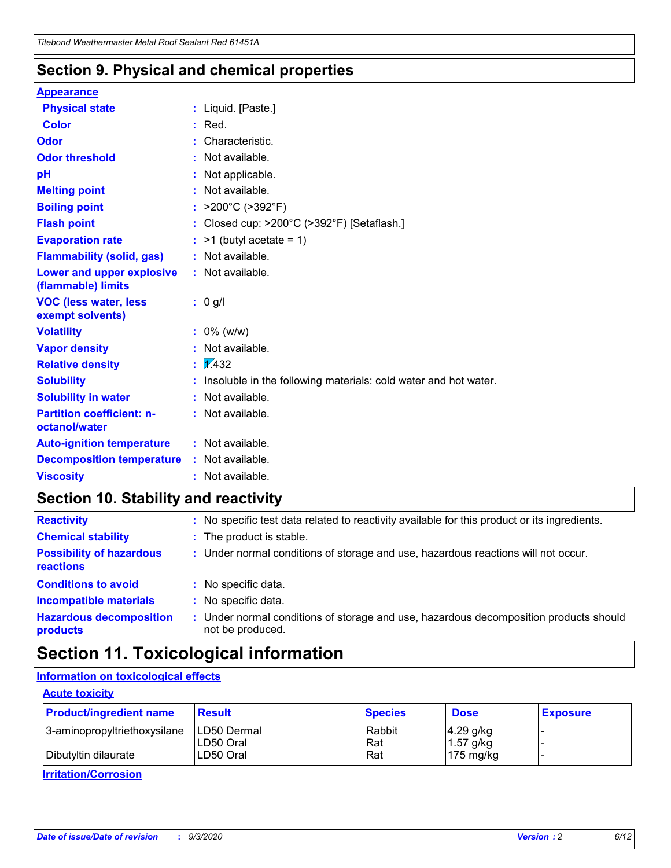### **Section 9. Physical and chemical properties**

#### **Appearance**

| <b>Physical state</b>                             |   | : Liquid. [Paste.]                                              |
|---------------------------------------------------|---|-----------------------------------------------------------------|
| <b>Color</b>                                      |   | Red.                                                            |
| Odor                                              |   | Characteristic.                                                 |
| <b>Odor threshold</b>                             | ÷ | Not available.                                                  |
| рH                                                |   | Not applicable.                                                 |
| <b>Melting point</b>                              |   | : Not available.                                                |
| <b>Boiling point</b>                              |   | >200°C (>392°F)                                                 |
| <b>Flash point</b>                                |   | Closed cup: >200°C (>392°F) [Setaflash.]                        |
| <b>Evaporation rate</b>                           |   | $:$ >1 (butyl acetate = 1)                                      |
| <b>Flammability (solid, gas)</b>                  |   | : Not available.                                                |
| Lower and upper explosive<br>(flammable) limits   |   | : Not available.                                                |
| <b>VOC (less water, less)</b><br>exempt solvents) |   | : 0 g/l                                                         |
| <b>Volatility</b>                                 |   | $: 0\%$ (w/w)                                                   |
| <b>Vapor density</b>                              |   | Not available.                                                  |
| <b>Relative density</b>                           |   | $\mathbf{1}$ $\mathbf{\sqrt{432}}$                              |
| <b>Solubility</b>                                 |   | Insoluble in the following materials: cold water and hot water. |
| <b>Solubility in water</b>                        |   | Not available.                                                  |
| <b>Partition coefficient: n-</b><br>octanol/water |   | $:$ Not available.                                              |
| <b>Auto-ignition temperature</b>                  |   | : Not available.                                                |
| <b>Decomposition temperature</b>                  |   | : Not available.                                                |
| <b>Viscosity</b>                                  |   | $:$ Not available.                                              |

### **Section 10. Stability and reactivity**

| <b>Reactivity</b>                            |    | : No specific test data related to reactivity available for this product or its ingredients.            |
|----------------------------------------------|----|---------------------------------------------------------------------------------------------------------|
| <b>Chemical stability</b>                    |    | : The product is stable.                                                                                |
| <b>Possibility of hazardous</b><br>reactions |    | : Under normal conditions of storage and use, hazardous reactions will not occur.                       |
| <b>Conditions to avoid</b>                   |    | : No specific data.                                                                                     |
| <b>Incompatible materials</b>                | ٠. | No specific data.                                                                                       |
| <b>Hazardous decomposition</b><br>products   | ÷. | Under normal conditions of storage and use, hazardous decomposition products should<br>not be produced. |

### **Section 11. Toxicological information**

#### **Information on toxicological effects**

#### **Acute toxicity**

| <b>Product/ingredient name</b> | <b>Result</b>           | <b>Species</b> | <b>Dose</b>                | <b>Exposure</b> |
|--------------------------------|-------------------------|----------------|----------------------------|-----------------|
| 3-aminopropyltriethoxysilane   | <b>ILD50 Dermal</b>     | Rabbit         | 4.29 g/kg                  |                 |
| Dibutyltin dilaurate           | ILD50 Oral<br>LD50 Oral | Rat<br>Rat     | $1.57$ g/kg<br>175 $mg/kg$ |                 |
|                                |                         |                |                            |                 |

**Irritation/Corrosion**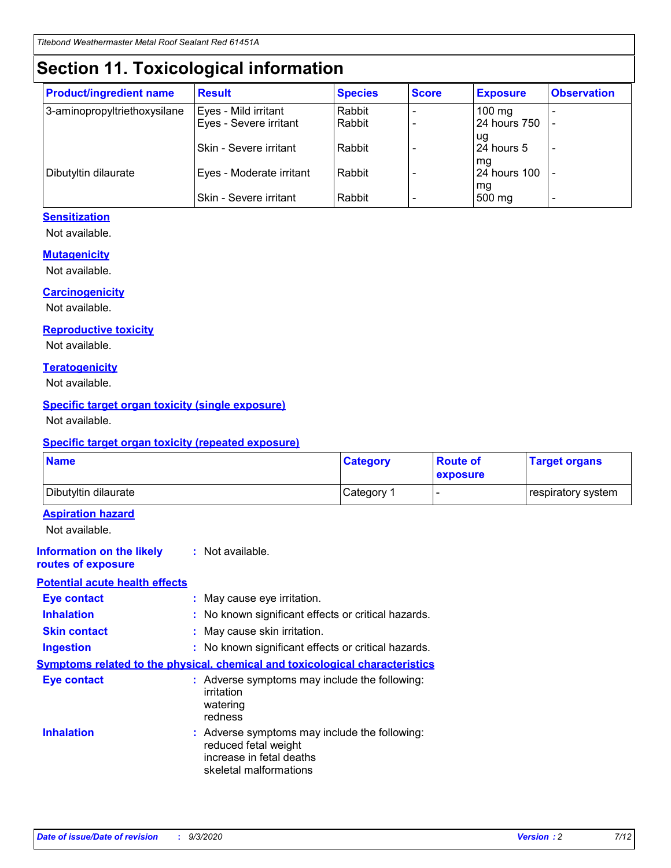# **Section 11. Toxicological information**

| <b>Product/ingredient name</b> | <b>Result</b>            | <b>Species</b> | <b>Score</b> | <b>Exposure</b>    | <b>Observation</b> |
|--------------------------------|--------------------------|----------------|--------------|--------------------|--------------------|
| 3-aminopropyltriethoxysilane   | Eyes - Mild irritant     | Rabbit         |              | $100$ mg           |                    |
|                                | Eyes - Severe irritant   | Rabbit         |              | 24 hours 750       |                    |
|                                |                          |                |              | ug                 |                    |
|                                | Skin - Severe irritant   | Rabbit         |              | 24 hours 5         | -                  |
| Dibutyltin dilaurate           | Eyes - Moderate irritant | Rabbit         |              | mg<br>24 hours 100 |                    |
|                                |                          |                |              | mg                 |                    |
|                                | Skin - Severe irritant   | Rabbit         |              | 500 mg             | -                  |

#### **Sensitization**

Not available.

#### **Mutagenicity**

Not available.

#### **Carcinogenicity**

Not available.

#### **Reproductive toxicity**

Not available.

#### **Teratogenicity**

Not available.

#### **Specific target organ toxicity (single exposure)**

Not available.

#### **Specific target organ toxicity (repeated exposure)**

| <b>Name</b>                                                                  |                                                                                    | <b>Category</b>                                     | <b>Route of</b><br>exposure | <b>Target organs</b> |  |  |
|------------------------------------------------------------------------------|------------------------------------------------------------------------------------|-----------------------------------------------------|-----------------------------|----------------------|--|--|
| Dibutyltin dilaurate                                                         |                                                                                    | Category 1                                          | $\overline{\phantom{0}}$    | respiratory system   |  |  |
| <b>Aspiration hazard</b><br>Not available.                                   |                                                                                    |                                                     |                             |                      |  |  |
| <b>Information on the likely</b><br>routes of exposure                       | : Not available.                                                                   |                                                     |                             |                      |  |  |
| <b>Potential acute health effects</b>                                        |                                                                                    |                                                     |                             |                      |  |  |
| <b>Eye contact</b>                                                           | : May cause eye irritation.                                                        |                                                     |                             |                      |  |  |
| <b>Inhalation</b>                                                            |                                                                                    | : No known significant effects or critical hazards. |                             |                      |  |  |
| <b>Skin contact</b>                                                          |                                                                                    | : May cause skin irritation.                        |                             |                      |  |  |
| <b>Ingestion</b>                                                             |                                                                                    | : No known significant effects or critical hazards. |                             |                      |  |  |
| Symptoms related to the physical, chemical and toxicological characteristics |                                                                                    |                                                     |                             |                      |  |  |
| <b>Eye contact</b>                                                           | : Adverse symptoms may include the following:<br>irritation<br>watering<br>redness |                                                     |                             |                      |  |  |
| <b>Inhalation</b>                                                            | reduced fetal weight<br>increase in fetal deaths<br>skeletal malformations         | : Adverse symptoms may include the following:       |                             |                      |  |  |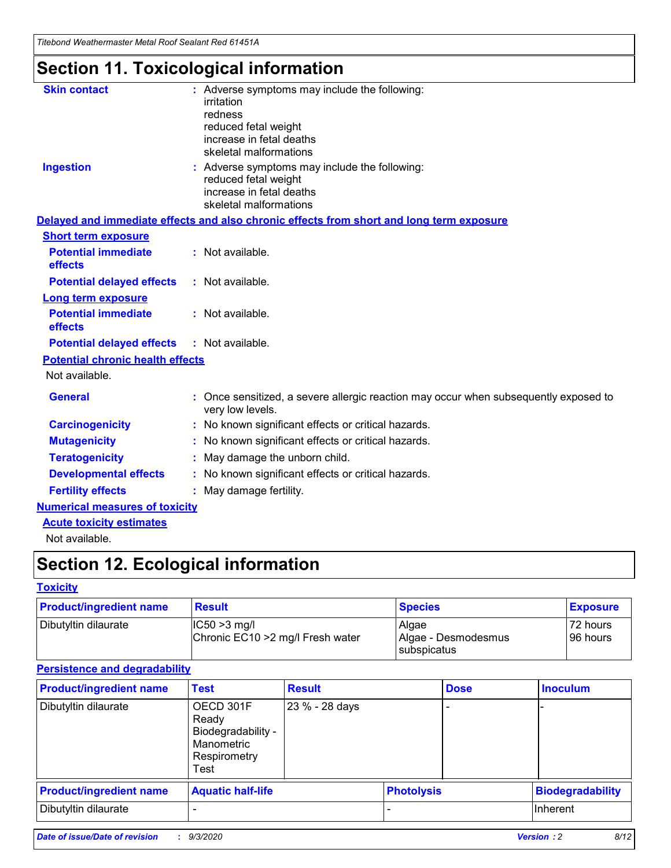*Titebond Weathermaster Metal Roof Sealant Red 61451A*

# **Section 11. Toxicological information**

| <b>Skin contact</b>                     | : Adverse symptoms may include the following:<br>irritation                                                                 |  |  |  |
|-----------------------------------------|-----------------------------------------------------------------------------------------------------------------------------|--|--|--|
|                                         | redness                                                                                                                     |  |  |  |
|                                         | reduced fetal weight<br>increase in fetal deaths                                                                            |  |  |  |
|                                         | skeletal malformations                                                                                                      |  |  |  |
| <b>Ingestion</b>                        | : Adverse symptoms may include the following:<br>reduced fetal weight<br>increase in fetal deaths<br>skeletal malformations |  |  |  |
|                                         | Delayed and immediate effects and also chronic effects from short and long term exposure                                    |  |  |  |
| <b>Short term exposure</b>              |                                                                                                                             |  |  |  |
| <b>Potential immediate</b><br>effects   | : Not available.                                                                                                            |  |  |  |
| <b>Potential delayed effects</b>        | : Not available.                                                                                                            |  |  |  |
| <b>Long term exposure</b>               |                                                                                                                             |  |  |  |
| <b>Potential immediate</b><br>effects   | : Not available.                                                                                                            |  |  |  |
| <b>Potential delayed effects</b>        | : Not available.                                                                                                            |  |  |  |
| <b>Potential chronic health effects</b> |                                                                                                                             |  |  |  |
| Not available.                          |                                                                                                                             |  |  |  |
| <b>General</b>                          | Once sensitized, a severe allergic reaction may occur when subsequently exposed to<br>very low levels.                      |  |  |  |
| <b>Carcinogenicity</b>                  | : No known significant effects or critical hazards.                                                                         |  |  |  |
| <b>Mutagenicity</b>                     | : No known significant effects or critical hazards.                                                                         |  |  |  |
| <b>Teratogenicity</b>                   | May damage the unborn child.                                                                                                |  |  |  |
| <b>Developmental effects</b>            | : No known significant effects or critical hazards.                                                                         |  |  |  |
| <b>Fertility effects</b>                | May damage fertility.                                                                                                       |  |  |  |
| <b>Numerical measures of toxicity</b>   |                                                                                                                             |  |  |  |
| <b>Acute toxicity estimates</b>         |                                                                                                                             |  |  |  |
| الملمانة المستنقط فالمرابط              |                                                                                                                             |  |  |  |

Not available.

# **Section 12. Ecological information**

#### **Toxicity**

| <b>Product/ingredient name</b> | <b>Result</b>                                       | <b>Species</b>               | <b>Exposure</b>       |
|--------------------------------|-----------------------------------------------------|------------------------------|-----------------------|
| Dibutyltin dilaurate           | $ CC50>3$ mg/l<br>Chronic EC10 > 2 mg/l Fresh water | Algae<br>Algae - Desmodesmus | 72 hours<br>196 hours |
|                                |                                                     | <b>I</b> subspicatus         |                       |

#### **Persistence and degradability**

| <b>Product/ingredient name</b> | <b>Test</b>                                                                    | <b>Result</b>  |                   | <b>Dose</b> | <b>Inoculum</b>         |
|--------------------------------|--------------------------------------------------------------------------------|----------------|-------------------|-------------|-------------------------|
| Dibutyltin dilaurate           | OECD 301F<br>Ready<br>Biodegradability -<br>Manometric<br>Respirometry<br>Test | 23 % - 28 days |                   |             |                         |
| <b>Product/ingredient name</b> | <b>Aquatic half-life</b>                                                       |                | <b>Photolysis</b> |             | <b>Biodegradability</b> |
| Dibutyltin dilaurate           |                                                                                |                |                   |             | <b>Inherent</b>         |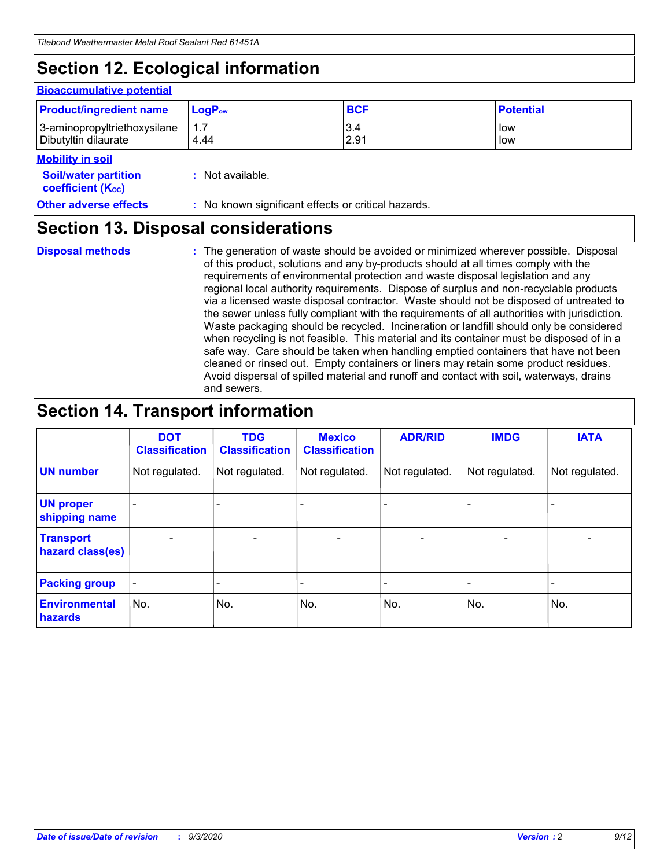# **Section 12. Ecological information**

#### **Bioaccumulative potential**

| <b>Product/ingredient name</b> | <b>LogP</b> <sub>ow</sub> | <b>BCF</b> | <b>Potential</b> |
|--------------------------------|---------------------------|------------|------------------|
| 3-aminopropyltriethoxysilane   | 4.44                      | 3.4        | low              |
| Dibutyltin dilaurate           |                           | 2.91       | low              |

#### **Mobility in soil**

| <b>MODINA IN SON</b>                                          |                                                     |
|---------------------------------------------------------------|-----------------------------------------------------|
| <b>Soil/water partition</b><br>coefficient (K <sub>oc</sub> ) | : Not available.                                    |
| <b>Other adverse effects</b>                                  | : No known significant effects or critical hazards. |

### **Section 13. Disposal considerations**

**Disposal methods :**

The generation of waste should be avoided or minimized wherever possible. Disposal of this product, solutions and any by-products should at all times comply with the requirements of environmental protection and waste disposal legislation and any regional local authority requirements. Dispose of surplus and non-recyclable products via a licensed waste disposal contractor. Waste should not be disposed of untreated to the sewer unless fully compliant with the requirements of all authorities with jurisdiction. Waste packaging should be recycled. Incineration or landfill should only be considered when recycling is not feasible. This material and its container must be disposed of in a safe way. Care should be taken when handling emptied containers that have not been cleaned or rinsed out. Empty containers or liners may retain some product residues. Avoid dispersal of spilled material and runoff and contact with soil, waterways, drains and sewers.

### **Section 14. Transport information**

|                                      | <b>DOT</b><br><b>Classification</b> | <b>TDG</b><br><b>Classification</b> | <b>Mexico</b><br><b>Classification</b> | <b>ADR/RID</b>           | <b>IMDG</b>              | <b>IATA</b>    |
|--------------------------------------|-------------------------------------|-------------------------------------|----------------------------------------|--------------------------|--------------------------|----------------|
| <b>UN number</b>                     | Not regulated.                      | Not regulated.                      | Not regulated.                         | Not regulated.           | Not regulated.           | Not regulated. |
| <b>UN proper</b><br>shipping name    |                                     |                                     |                                        |                          |                          |                |
| <b>Transport</b><br>hazard class(es) |                                     | $\overline{\phantom{0}}$            | $\qquad \qquad \blacksquare$           | $\overline{\phantom{0}}$ | $\overline{\phantom{0}}$ |                |
| <b>Packing group</b>                 |                                     |                                     |                                        |                          |                          |                |
| <b>Environmental</b><br>hazards      | No.                                 | No.                                 | No.                                    | No.                      | No.                      | No.            |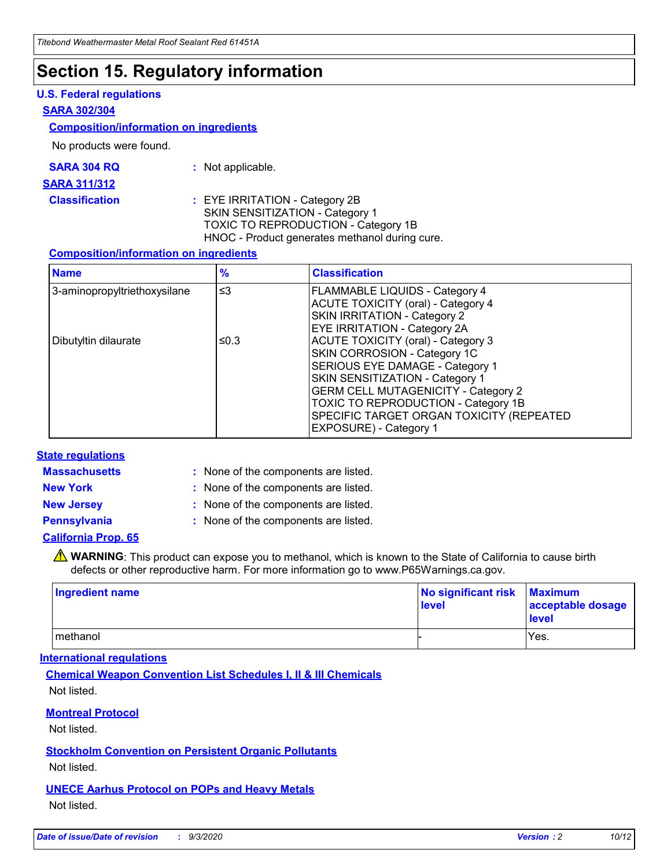### **Section 15. Regulatory information**

#### **U.S. Federal regulations**

#### **SARA 302/304**

#### **Composition/information on ingredients**

No products were found.

| SARA 304 RQ | Not applicable. |
|-------------|-----------------|
|-------------|-----------------|

#### **SARA 311/312**

**Classification :** EYE IRRITATION - Category 2B SKIN SENSITIZATION - Category 1 TOXIC TO REPRODUCTION - Category 1B HNOC - Product generates methanol during cure.

#### **Composition/information on ingredients**

| <b>Name</b>                  | $\frac{9}{6}$ | <b>Classification</b>                                                                                                                                                                                                                                                                                      |
|------------------------------|---------------|------------------------------------------------------------------------------------------------------------------------------------------------------------------------------------------------------------------------------------------------------------------------------------------------------------|
| 3-aminopropyltriethoxysilane | $\leq$ 3      | <b>FLAMMABLE LIQUIDS - Category 4</b><br><b>ACUTE TOXICITY (oral) - Category 4</b><br><b>SKIN IRRITATION - Category 2</b><br>EYE IRRITATION - Category 2A                                                                                                                                                  |
| Dibutyltin dilaurate         | ≤0.3          | <b>ACUTE TOXICITY (oral) - Category 3</b><br>SKIN CORROSION - Category 1C<br>SERIOUS EYE DAMAGE - Category 1<br>SKIN SENSITIZATION - Category 1<br><b>GERM CELL MUTAGENICITY - Category 2</b><br>TOXIC TO REPRODUCTION - Category 1B<br>SPECIFIC TARGET ORGAN TOXICITY (REPEATED<br>EXPOSURE) - Category 1 |

#### **State regulations**

**Massachusetts :**

: None of the components are listed.

**New York :** None of the components are listed. **New Jersey :** None of the components are listed.

**Pennsylvania :** None of the components are listed.

#### **California Prop. 65**

WARNING: This product can expose you to methanol, which is known to the State of California to cause birth defects or other reproductive harm. For more information go to www.P65Warnings.ca.gov.

| Ingredient name | No significant risk Maximum<br>level | acceptable dosage<br><b>level</b> |
|-----------------|--------------------------------------|-----------------------------------|
| I methanol      |                                      | Yes.                              |

#### **International regulations**

**Chemical Weapon Convention List Schedules I, II & III Chemicals** Not listed.

#### **Montreal Protocol**

Not listed.

**Stockholm Convention on Persistent Organic Pollutants**

Not listed.

#### **UNECE Aarhus Protocol on POPs and Heavy Metals** Not listed.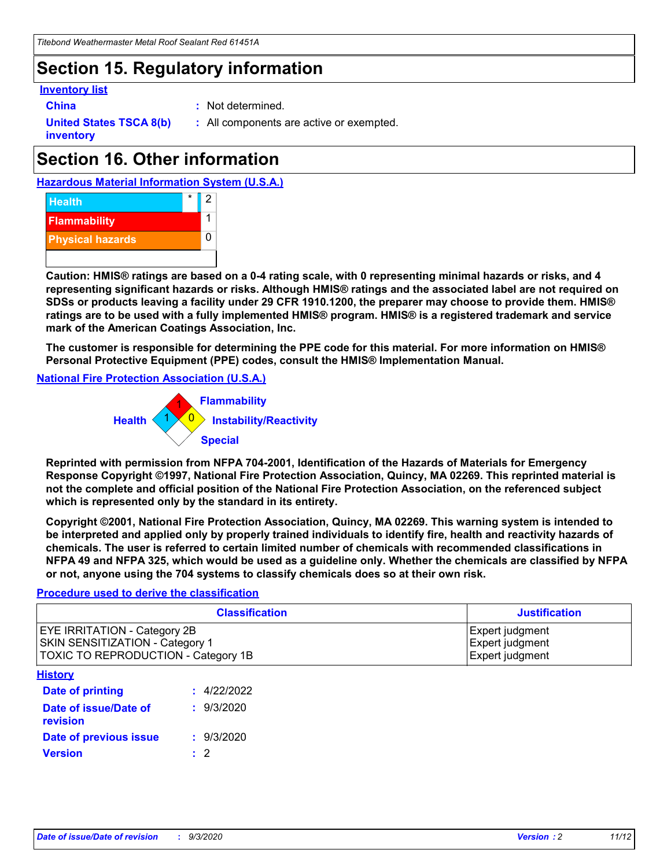# **Section 15. Regulatory information**

#### **Inventory list**

- 
- **China :** Not determined.

**United States TSCA 8(b) inventory**

**:** All components are active or exempted.

# **Section 16. Other information**





**Caution: HMIS® ratings are based on a 0-4 rating scale, with 0 representing minimal hazards or risks, and 4 representing significant hazards or risks. Although HMIS® ratings and the associated label are not required on SDSs or products leaving a facility under 29 CFR 1910.1200, the preparer may choose to provide them. HMIS® ratings are to be used with a fully implemented HMIS® program. HMIS® is a registered trademark and service mark of the American Coatings Association, Inc.**

**The customer is responsible for determining the PPE code for this material. For more information on HMIS® Personal Protective Equipment (PPE) codes, consult the HMIS® Implementation Manual.**

**National Fire Protection Association (U.S.A.)**



**Reprinted with permission from NFPA 704-2001, Identification of the Hazards of Materials for Emergency Response Copyright ©1997, National Fire Protection Association, Quincy, MA 02269. This reprinted material is not the complete and official position of the National Fire Protection Association, on the referenced subject which is represented only by the standard in its entirety.**

**Copyright ©2001, National Fire Protection Association, Quincy, MA 02269. This warning system is intended to be interpreted and applied only by properly trained individuals to identify fire, health and reactivity hazards of chemicals. The user is referred to certain limited number of chemicals with recommended classifications in NFPA 49 and NFPA 325, which would be used as a guideline only. Whether the chemicals are classified by NFPA or not, anyone using the 704 systems to classify chemicals does so at their own risk.**

#### **Procedure used to derive the classification**

| <b>Classification</b>                                                                                         | <b>Justification</b>                                  |
|---------------------------------------------------------------------------------------------------------------|-------------------------------------------------------|
| <b>EYE IRRITATION - Category 2B</b><br>SKIN SENSITIZATION - Category 1<br>TOXIC TO REPRODUCTION - Category 1B | Expert judgment<br>Expert judgment<br>Expert judgment |
| <b>History</b>                                                                                                |                                                       |

| .                                 |             |
|-----------------------------------|-------------|
| <b>Date of printing</b>           | : 4/22/2022 |
| Date of issue/Date of<br>revision | : 9/3/2020  |
| Date of previous issue            | : 9/3/2020  |
| <b>Version</b>                    | $\cdot$ 2   |
|                                   |             |